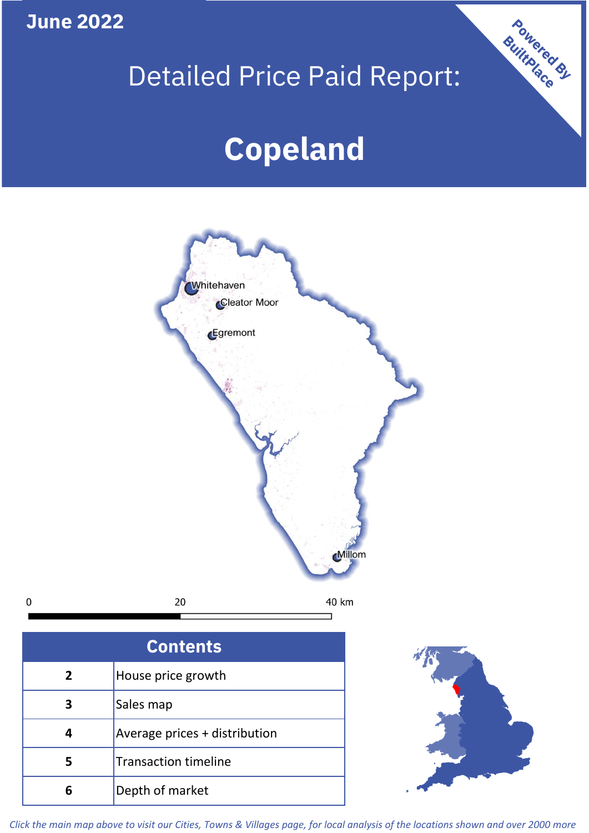**June 2022**

**5**

**4**

# Detailed Price Paid Report:

Powered By

# **Copeland**



*Click the main map above to visit our Cities, Towns & Villages page, for local analysis of the locations shown and over 2000 more*

Average prices + distribution

Transaction timeline

**6** Depth of market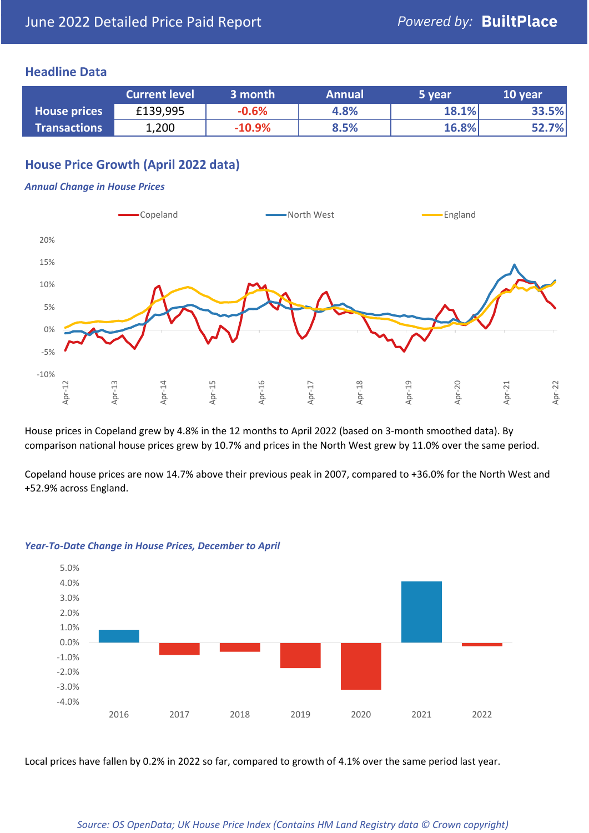### **Headline Data**

|                     | <b>Current level</b> | 3 month  | <b>Annual</b> | 5 year | 10 year |
|---------------------|----------------------|----------|---------------|--------|---------|
| <b>House prices</b> | £139,995             | $-0.6%$  | 4.8%          | 18.1%  | 33.5%   |
| <b>Transactions</b> | 1,200                | $-10.9%$ | 8.5%          | 16.8%  | 52.7%   |

# **House Price Growth (April 2022 data)**

#### *Annual Change in House Prices*



House prices in Copeland grew by 4.8% in the 12 months to April 2022 (based on 3-month smoothed data). By comparison national house prices grew by 10.7% and prices in the North West grew by 11.0% over the same period.

Copeland house prices are now 14.7% above their previous peak in 2007, compared to +36.0% for the North West and +52.9% across England.



#### *Year-To-Date Change in House Prices, December to April*

Local prices have fallen by 0.2% in 2022 so far, compared to growth of 4.1% over the same period last year.

#### *Source: OS OpenData; UK House Price Index (Contains HM Land Registry data © Crown copyright)*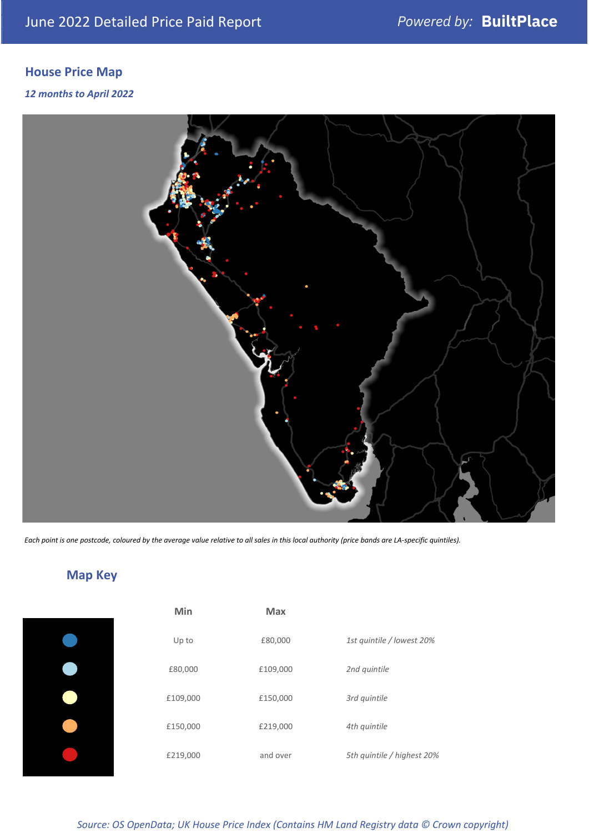# **House Price Map**

#### *12 months to April 2022*



*Each point is one postcode, coloured by the average value relative to all sales in this local authority (price bands are LA-specific quintiles).*

**Map Key**

| Min      | <b>Max</b> |                            |
|----------|------------|----------------------------|
| Up to    | £80,000    | 1st quintile / lowest 20%  |
| £80,000  | £109,000   | 2nd quintile               |
| £109,000 | £150,000   | 3rd quintile               |
| £150,000 | £219,000   | 4th quintile               |
| £219,000 | and over   | 5th quintile / highest 20% |

#### *Source: OS OpenData; UK House Price Index (Contains HM Land Registry data © Crown copyright)*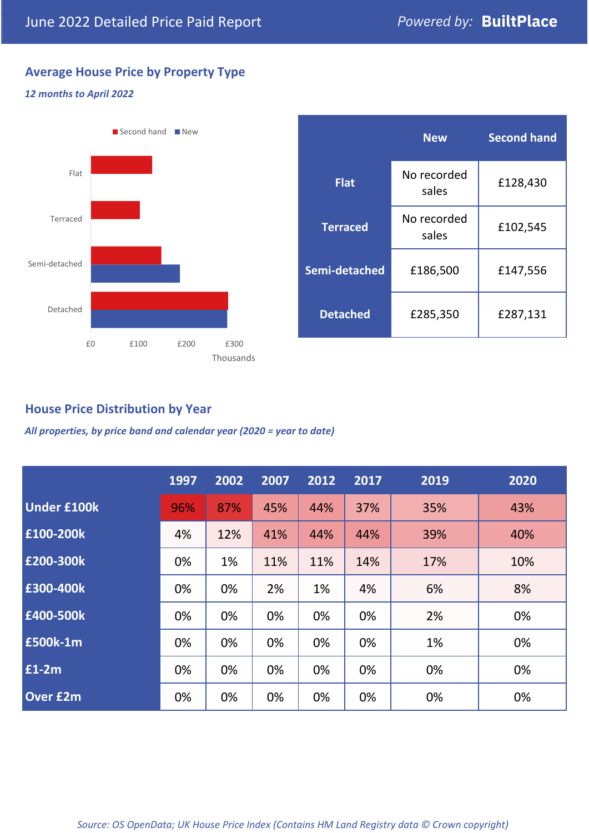# **Average House Price by Property Type**

#### *12 months to April 2022*



|                 | <b>New</b>           | <b>Second hand</b> |  |
|-----------------|----------------------|--------------------|--|
| <b>Flat</b>     | No recorded<br>sales | £128,430           |  |
| <b>Terraced</b> | No recorded<br>sales | £102,545           |  |
| Semi-detached   | £186,500             | £147,556           |  |
| <b>Detached</b> | £285,350             | £287,131           |  |

# **House Price Distribution by Year**

*All properties, by price band and calendar year (2020 = year to date)*

|                    | 1997 | 2002 | 2007 | 2012 | 2017 | 2019 | 2020 |
|--------------------|------|------|------|------|------|------|------|
| <b>Under £100k</b> | 96%  | 87%  | 45%  | 44%  | 37%  | 35%  | 43%  |
| £100-200k          | 4%   | 12%  | 41%  | 44%  | 44%  | 39%  | 40%  |
| £200-300k          | 0%   | 1%   | 11%  | 11%  | 14%  | 17%  | 10%  |
| £300-400k          | 0%   | 0%   | 2%   | 1%   | 4%   | 6%   | 8%   |
| £400-500k          | 0%   | 0%   | 0%   | 0%   | 0%   | 2%   | 0%   |
| £500k-1m           | 0%   | 0%   | 0%   | 0%   | 0%   | 1%   | 0%   |
| £1-2m              | 0%   | 0%   | 0%   | 0%   | 0%   | 0%   | 0%   |
| <b>Over £2m</b>    | 0%   | 0%   | 0%   | 0%   | 0%   | 0%   | 0%   |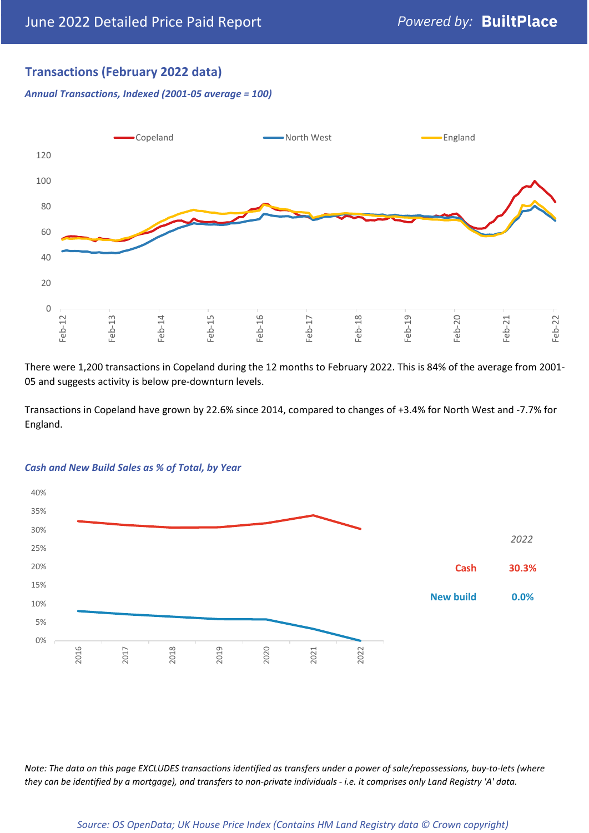# **Transactions (February 2022 data)**

*Annual Transactions, Indexed (2001-05 average = 100)*



There were 1,200 transactions in Copeland during the 12 months to February 2022. This is 84% of the average from 2001- 05 and suggests activity is below pre-downturn levels.

Transactions in Copeland have grown by 22.6% since 2014, compared to changes of +3.4% for North West and -7.7% for England.



#### *Cash and New Build Sales as % of Total, by Year*

*Note: The data on this page EXCLUDES transactions identified as transfers under a power of sale/repossessions, buy-to-lets (where they can be identified by a mortgage), and transfers to non-private individuals - i.e. it comprises only Land Registry 'A' data.*